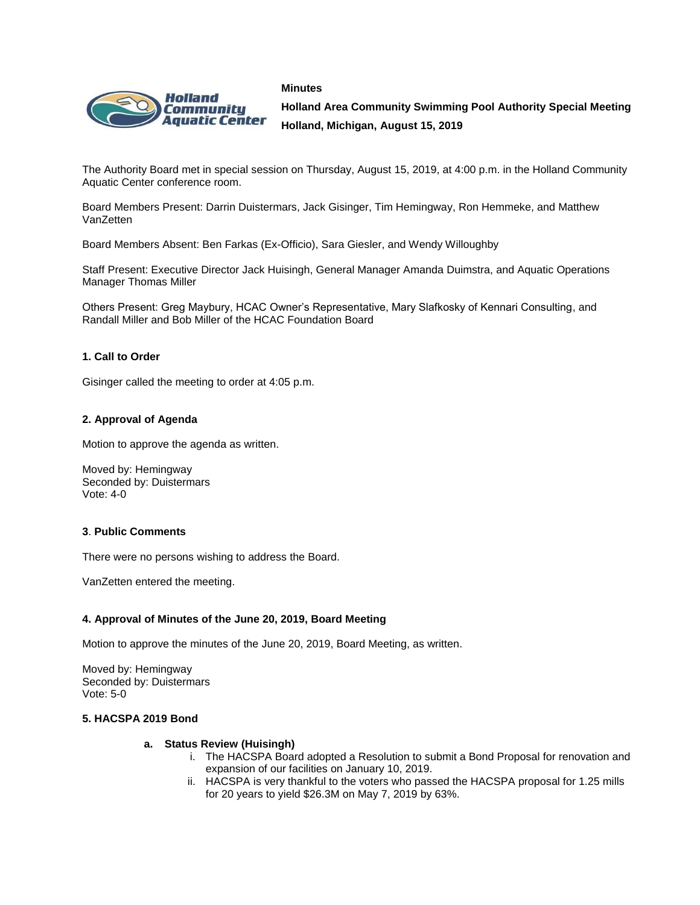



**Holland Area Community Swimming Pool Authority Special Meeting Holland, Michigan, August 15, 2019**

The Authority Board met in special session on Thursday, August 15, 2019, at 4:00 p.m. in the Holland Community Aquatic Center conference room.

Board Members Present: Darrin Duistermars, Jack Gisinger, Tim Hemingway, Ron Hemmeke, and Matthew VanZetten

Board Members Absent: Ben Farkas (Ex-Officio), Sara Giesler, and Wendy Willoughby

Staff Present: Executive Director Jack Huisingh, General Manager Amanda Duimstra, and Aquatic Operations Manager Thomas Miller

Others Present: Greg Maybury, HCAC Owner's Representative, Mary Slafkosky of Kennari Consulting, and Randall Miller and Bob Miller of the HCAC Foundation Board

## **1. Call to Order**

Gisinger called the meeting to order at 4:05 p.m.

#### **2. Approval of Agenda**

Motion to approve the agenda as written.

Moved by: Hemingway Seconded by: Duistermars Vote: 4-0

## **3**. **Public Comments**

There were no persons wishing to address the Board.

VanZetten entered the meeting.

#### **4. Approval of Minutes of the June 20, 2019, Board Meeting**

Motion to approve the minutes of the June 20, 2019, Board Meeting, as written.

Moved by: Hemingway Seconded by: Duistermars Vote: 5-0

## **5. HACSPA 2019 Bond**

#### **a. Status Review (Huisingh)**

- i. The HACSPA Board adopted a Resolution to submit a Bond Proposal for renovation and expansion of our facilities on January 10, 2019.
- ii. HACSPA is very thankful to the voters who passed the HACSPA proposal for 1.25 mills for 20 years to yield \$26.3M on May 7, 2019 by 63%.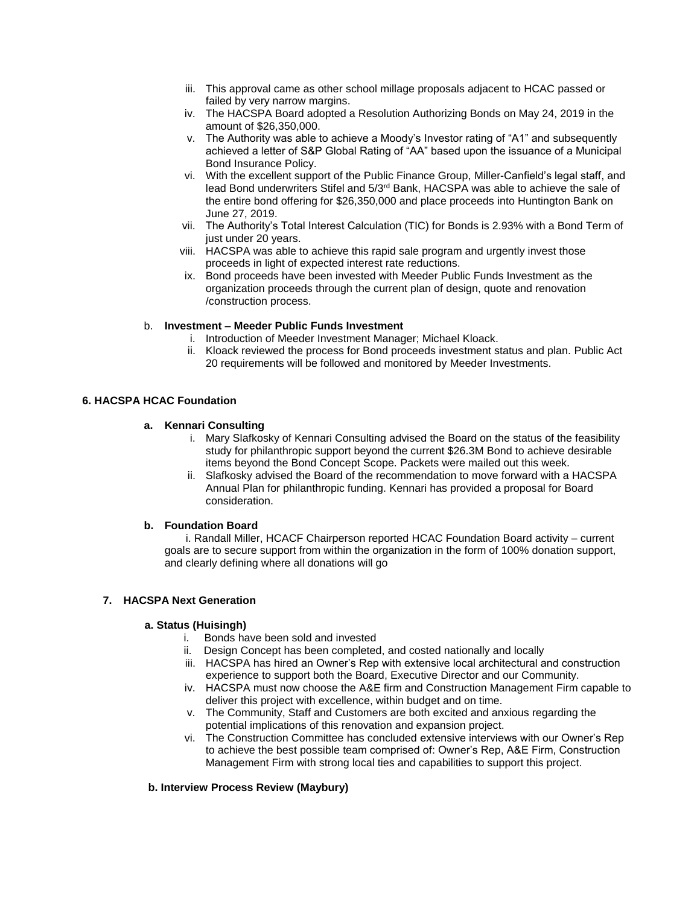- iii. This approval came as other school millage proposals adjacent to HCAC passed or failed by very narrow margins.
- iv. The HACSPA Board adopted a Resolution Authorizing Bonds on May 24, 2019 in the amount of \$26,350,000.
- v. The Authority was able to achieve a Moody's Investor rating of "A1" and subsequently achieved a letter of S&P Global Rating of "AA" based upon the issuance of a Municipal Bond Insurance Policy.
- vi. With the excellent support of the Public Finance Group, Miller-Canfield's legal staff, and lead Bond underwriters Stifel and 5/3<sup>rd</sup> Bank, HACSPA was able to achieve the sale of the entire bond offering for \$26,350,000 and place proceeds into Huntington Bank on June 27, 2019.
- vii. The Authority's Total Interest Calculation (TIC) for Bonds is 2.93% with a Bond Term of just under 20 years.
- viii. HACSPA was able to achieve this rapid sale program and urgently invest those proceeds in light of expected interest rate reductions.
- ix. Bond proceeds have been invested with Meeder Public Funds Investment as the organization proceeds through the current plan of design, quote and renovation /construction process.

# b. **Investment – Meeder Public Funds Investment**

- i. Introduction of Meeder Investment Manager; Michael Kloack.
- ii. Kloack reviewed the process for Bond proceeds investment status and plan. Public Act 20 requirements will be followed and monitored by Meeder Investments.

## **6. HACSPA HCAC Foundation**

## **a. Kennari Consulting**

- i. Mary Slafkosky of Kennari Consulting advised the Board on the status of the feasibility study for philanthropic support beyond the current \$26.3M Bond to achieve desirable items beyond the Bond Concept Scope. Packets were mailed out this week.
- ii. Slafkosky advised the Board of the recommendation to move forward with a HACSPA Annual Plan for philanthropic funding. Kennari has provided a proposal for Board consideration.

## **b. Foundation Board**

 i. Randall Miller, HCACF Chairperson reported HCAC Foundation Board activity – current goals are to secure support from within the organization in the form of 100% donation support, and clearly defining where all donations will go

# **7. HACSPA Next Generation**

#### **a. Status (Huisingh)**

- i. Bonds have been sold and invested
- ii. Design Concept has been completed, and costed nationally and locally
- iii. HACSPA has hired an Owner's Rep with extensive local architectural and construction experience to support both the Board, Executive Director and our Community.
- iv. HACSPA must now choose the A&E firm and Construction Management Firm capable to deliver this project with excellence, within budget and on time.
- v. The Community, Staff and Customers are both excited and anxious regarding the potential implications of this renovation and expansion project.
- vi. The Construction Committee has concluded extensive interviews with our Owner's Rep to achieve the best possible team comprised of: Owner's Rep, A&E Firm, Construction Management Firm with strong local ties and capabilities to support this project.

# **b. Interview Process Review (Maybury)**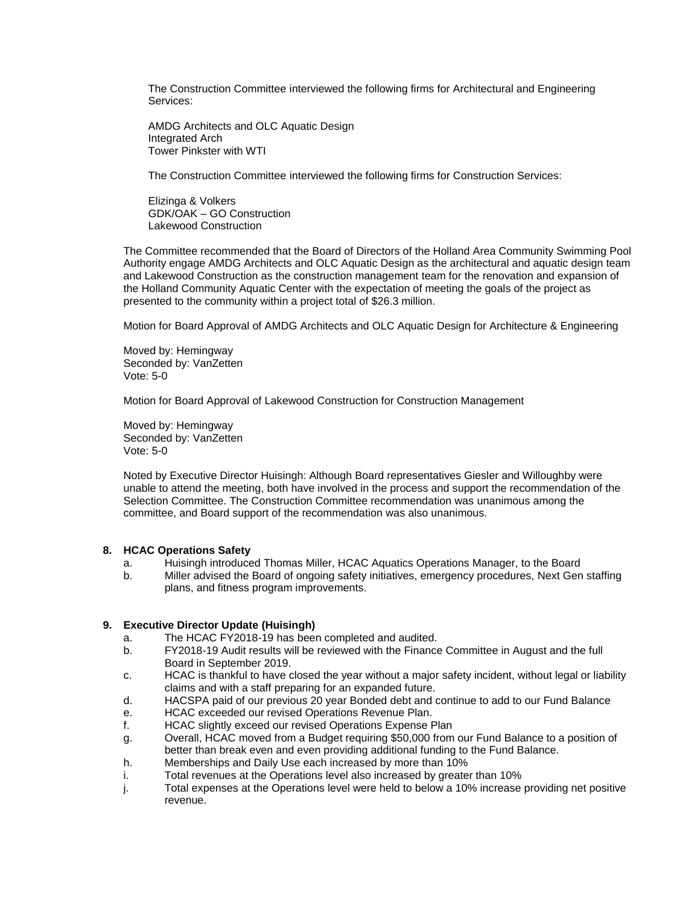The Construction Committee interviewed the following firms for Architectural and Engineering Services:

AMDG Architects and OLC Aquatic Design Integrated Arch Tower Pinkster with WTI

The Construction Committee interviewed the following firms for Construction Services:

Elizinga & Volkers GDK/OAK – GO Construction Lakewood Construction

The Committee recommended that the Board of Directors of the Holland Area Community Swimming Pool Authority engage AMDG Architects and OLC Aquatic Design as the architectural and aquatic design team and Lakewood Construction as the construction management team for the renovation and expansion of the Holland Community Aquatic Center with the expectation of meeting the goals of the project as presented to the community within a project total of \$26.3 million.

Motion for Board Approval of AMDG Architects and OLC Aquatic Design for Architecture & Engineering

Moved by: Hemingway Seconded by: VanZetten Vote: 5-0

Motion for Board Approval of Lakewood Construction for Construction Management

Moved by: Hemingway Seconded by: VanZetten Vote: 5-0

Noted by Executive Director Huisingh: Although Board representatives Giesler and Willoughby were unable to attend the meeting, both have involved in the process and support the recommendation of the Selection Committee. The Construction Committee recommendation was unanimous among the committee, and Board support of the recommendation was also unanimous.

#### **8. HCAC Operations Safety**

- a. Huisingh introduced Thomas Miller, HCAC Aquatics Operations Manager, to the Board
- b. Miller advised the Board of ongoing safety initiatives, emergency procedures, Next Gen staffing plans, and fitness program improvements.

#### **9. Executive Director Update (Huisingh)**

- a. The HCAC FY2018-19 has been completed and audited.
- b. FY2018-19 Audit results will be reviewed with the Finance Committee in August and the full Board in September 2019.
- c. HCAC is thankful to have closed the year without a major safety incident, without legal or liability claims and with a staff preparing for an expanded future.
- d. HACSPA paid of our previous 20 year Bonded debt and continue to add to our Fund Balance
- e. HCAC exceeded our revised Operations Revenue Plan.
- f. HCAC slightly exceed our revised Operations Expense Plan
- g. Overall, HCAC moved from a Budget requiring \$50,000 from our Fund Balance to a position of better than break even and even providing additional funding to the Fund Balance.
- h. Memberships and Daily Use each increased by more than 10%
- i. Total revenues at the Operations level also increased by greater than 10%
- j. Total expenses at the Operations level were held to below a 10% increase providing net positive revenue.